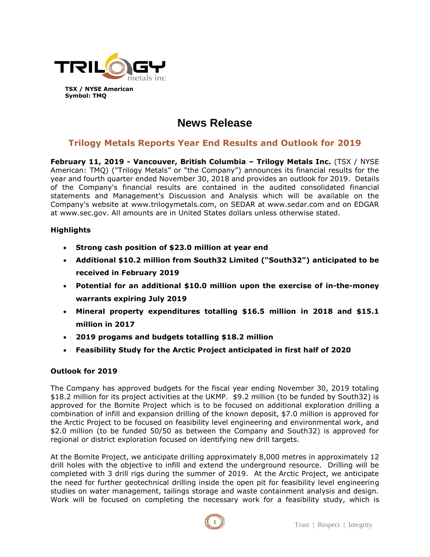

# **News Release**

# **Trilogy Metals Reports Year End Results and Outlook for 2019**

**February 11, 2019 - Vancouver, British Columbia – Trilogy Metals Inc.** (TSX / NYSE American: TMQ) ("Trilogy Metals" or "the Company") announces its financial results for the year and fourth quarter ended November 30, 2018 and provides an outlook for 2019. Details of the Company's financial results are contained in the audited consolidated financial statements and Management's Discussion and Analysis which will be available on the Company's website at www.trilogymetals.com, on SEDAR at www.sedar.com and on EDGAR at www.sec.gov. All amounts are in United States dollars unless otherwise stated.

#### **Highlights**

- **Strong cash position of \$23.0 million at year end**
- **Additional \$10.2 million from South32 Limited ("South32") anticipated to be received in February 2019**
- **Potential for an additional \$10.0 million upon the exercise of in-the-money warrants expiring July 2019**
- **Mineral property expenditures totalling \$16.5 million in 2018 and \$15.1 million in 2017**
- **2019 progams and budgets totalling \$18.2 million**
- **Feasibility Study for the Arctic Project anticipated in first half of 2020**

## **Outlook for 2019**

The Company has approved budgets for the fiscal year ending November 30, 2019 totaling \$18.2 million for its project activities at the UKMP. \$9.2 million (to be funded by South32) is approved for the Bornite Project which is to be focused on additional exploration drilling a combination of infill and expansion drilling of the known deposit, \$7.0 million is approved for the Arctic Project to be focused on feasibility level engineering and environmental work, and \$2.0 million (to be funded 50/50 as between the Company and South32) is approved for regional or district exploration focused on identifying new drill targets.

At the Bornite Project, we anticipate drilling approximately 8,000 metres in approximately 12 drill holes with the objective to infill and extend the underground resource. Drilling will be completed with 3 drill rigs during the summer of 2019. At the Arctic Project, we anticipate the need for further geotechnical drilling inside the open pit for feasibility level engineering studies on water management, tailings storage and waste containment analysis and design. Work will be focused on completing the necessary work for a feasibility study, which is

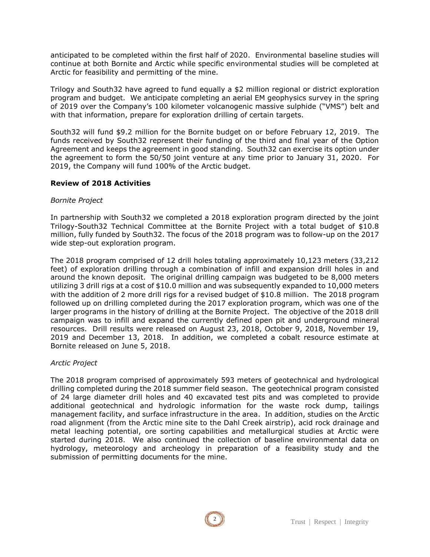anticipated to be completed within the first half of 2020. Environmental baseline studies will continue at both Bornite and Arctic while specific environmental studies will be completed at Arctic for feasibility and permitting of the mine.

Trilogy and South32 have agreed to fund equally a \$2 million regional or district exploration program and budget. We anticipate completing an aerial EM geophysics survey in the spring of 2019 over the Company's 100 kilometer volcanogenic massive sulphide ("VMS") belt and with that information, prepare for exploration drilling of certain targets.

South32 will fund \$9.2 million for the Bornite budget on or before February 12, 2019. The funds received by South32 represent their funding of the third and final year of the Option Agreement and keeps the agreement in good standing. South32 can exercise its option under the agreement to form the 50/50 joint venture at any time prior to January 31, 2020. For 2019, the Company will fund 100% of the Arctic budget.

#### **Review of 2018 Activities**

#### *Bornite Project*

In partnership with South32 we completed a 2018 exploration program directed by the joint Trilogy-South32 Technical Committee at the Bornite Project with a total budget of \$10.8 million, fully funded by South32. The focus of the 2018 program was to follow-up on the 2017 wide step-out exploration program.

The 2018 program comprised of 12 drill holes totaling approximately 10,123 meters (33,212 feet) of exploration drilling through a combination of infill and expansion drill holes in and around the known deposit. The original drilling campaign was budgeted to be 8,000 meters utilizing 3 drill rigs at a cost of \$10.0 million and was subsequently expanded to 10,000 meters with the addition of 2 more drill rigs for a revised budget of \$10.8 million. The 2018 program followed up on drilling completed during the 2017 exploration program, which was one of the larger programs in the history of drilling at the Bornite Project. The objective of the 2018 drill campaign was to infill and expand the currently defined open pit and underground mineral resources. Drill results were released on August 23, 2018, October 9, 2018, November 19, 2019 and December 13, 2018. In addition, we completed a cobalt resource estimate at Bornite released on June 5, 2018.

#### *Arctic Project*

The 2018 program comprised of approximately 593 meters of geotechnical and hydrological drilling completed during the 2018 summer field season. The geotechnical program consisted of 24 large diameter drill holes and 40 excavated test pits and was completed to provide additional geotechnical and hydrologic information for the waste rock dump, tailings management facility, and surface infrastructure in the area. In addition, studies on the Arctic road alignment (from the Arctic mine site to the Dahl Creek airstrip), acid rock drainage and metal leaching potential, ore sorting capabilities and metallurgical studies at Arctic were started during 2018. We also continued the collection of baseline environmental data on hydrology, meteorology and archeology in preparation of a feasibility study and the submission of permitting documents for the mine.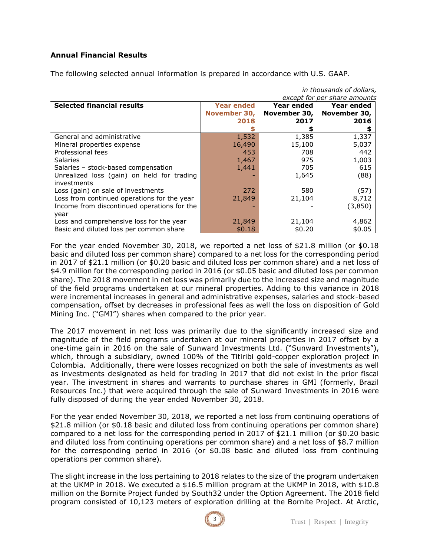## **Annual Financial Results**

The following selected annual information is prepared in accordance with U.S. GAAP.

| except for per share amounts                |                   |              |              |
|---------------------------------------------|-------------------|--------------|--------------|
| <b>Selected financial results</b>           | <b>Year ended</b> | Year ended   | Year ended   |
|                                             | November 30,      | November 30, | November 30, |
|                                             | 2018              | 2017         | 2016         |
|                                             |                   |              |              |
| General and administrative                  | 1,532             | 1,385        | 1,337        |
| Mineral properties expense                  | 16,490            | 15,100       | 5,037        |
| Professional fees                           | 453               | 708          | 442          |
| <b>Salaries</b>                             | 1,467             | 975          | 1,003        |
| Salaries - stock-based compensation         | 1,441             | 705          | 615          |
| Unrealized loss (gain) on held for trading  |                   | 1,645        | (88)         |
| investments                                 |                   |              |              |
| Loss (gain) on sale of investments          | 272               | 580          | (57)         |
| Loss from continued operations for the year | 21,849            | 21,104       | 8,712        |
| Income from discontinued operations for the |                   |              | (3,850)      |
| year                                        |                   |              |              |
| Loss and comprehensive loss for the year    | 21,849            | 21,104       | 4,862        |
| Basic and diluted loss per common share     | \$0.18            | \$0.20       | \$0.05       |

For the year ended November 30, 2018, we reported a net loss of \$21.8 million (or \$0.18 basic and diluted loss per common share) compared to a net loss for the corresponding period in 2017 of \$21.1 million (or \$0.20 basic and diluted loss per common share) and a net loss of \$4.9 million for the corresponding period in 2016 (or \$0.05 basic and diluted loss per common share). The 2018 movement in net loss was primarily due to the increased size and magnitude of the field programs undertaken at our mineral properties. Adding to this variance in 2018 were incremental increases in general and administrative expenses, salaries and stock-based compensation, offset by decreases in professional fees as well the loss on disposition of Gold Mining Inc. ("GMI") shares when compared to the prior year.

The 2017 movement in net loss was primarily due to the significantly increased size and magnitude of the field programs undertaken at our mineral properties in 2017 offset by a one-time gain in 2016 on the sale of Sunward Investments Ltd. ("Sunward Investments"), which, through a subsidiary, owned 100% of the Titiribi gold-copper exploration project in Colombia. Additionally, there were losses recognized on both the sale of investments as well as investments designated as held for trading in 2017 that did not exist in the prior fiscal year. The investment in shares and warrants to purchase shares in GMI (formerly, Brazil Resources Inc.) that were acquired through the sale of Sunward Investments in 2016 were fully disposed of during the year ended November 30, 2018.

For the year ended November 30, 2018, we reported a net loss from continuing operations of \$21.8 million (or \$0.18 basic and diluted loss from continuing operations per common share) compared to a net loss for the corresponding period in 2017 of \$21.1 million (or \$0.20 basic and diluted loss from continuing operations per common share) and a net loss of \$8.7 million for the corresponding period in 2016 (or \$0.08 basic and diluted loss from continuing operations per common share).

The slight increase in the loss pertaining to 2018 relates to the size of the program undertaken at the UKMP in 2018. We executed a \$16.5 million program at the UKMP in 2018, with \$10.8 million on the Bornite Project funded by South32 under the Option Agreement. The 2018 field program consisted of 10,123 meters of exploration drilling at the Bornite Project. At Arctic,



*in thousands of dollars,*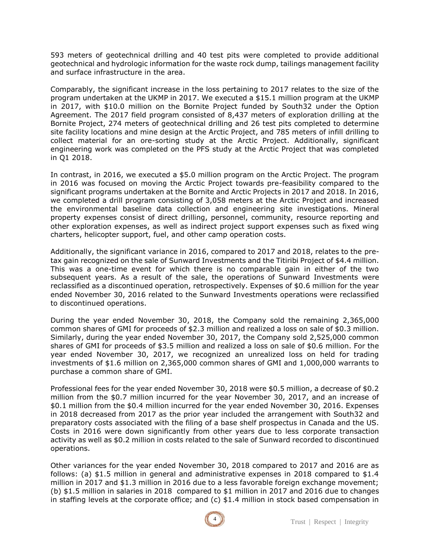593 meters of geotechnical drilling and 40 test pits were completed to provide additional geotechnical and hydrologic information for the waste rock dump, tailings management facility and surface infrastructure in the area.

Comparably, the significant increase in the loss pertaining to 2017 relates to the size of the program undertaken at the UKMP in 2017. We executed a \$15.1 million program at the UKMP in 2017, with \$10.0 million on the Bornite Project funded by South32 under the Option Agreement. The 2017 field program consisted of 8,437 meters of exploration drilling at the Bornite Project, 274 meters of geotechnical drilling and 26 test pits completed to determine site facility locations and mine design at the Arctic Project, and 785 meters of infill drilling to collect material for an ore-sorting study at the Arctic Project. Additionally, significant engineering work was completed on the PFS study at the Arctic Project that was completed in Q1 2018.

In contrast, in 2016, we executed a \$5.0 million program on the Arctic Project. The program in 2016 was focused on moving the Arctic Project towards pre-feasibility compared to the significant programs undertaken at the Bornite and Arctic Projects in 2017 and 2018. In 2016, we completed a drill program consisting of 3,058 meters at the Arctic Project and increased the environmental baseline data collection and engineering site investigations. Mineral property expenses consist of direct drilling, personnel, community, resource reporting and other exploration expenses, as well as indirect project support expenses such as fixed wing charters, helicopter support, fuel, and other camp operation costs.

Additionally, the significant variance in 2016, compared to 2017 and 2018, relates to the pretax gain recognized on the sale of Sunward Investments and the Titiribi Project of \$4.4 million. This was a one-time event for which there is no comparable gain in either of the two subsequent years. As a result of the sale, the operations of Sunward Investments were reclassified as a discontinued operation, retrospectively. Expenses of \$0.6 million for the year ended November 30, 2016 related to the Sunward Investments operations were reclassified to discontinued operations.

During the year ended November 30, 2018, the Company sold the remaining 2,365,000 common shares of GMI for proceeds of \$2.3 million and realized a loss on sale of \$0.3 million. Similarly, during the year ended November 30, 2017, the Company sold 2,525,000 common shares of GMI for proceeds of \$3.5 million and realized a loss on sale of \$0.6 million. For the year ended November 30, 2017, we recognized an unrealized loss on held for trading investments of \$1.6 million on 2,365,000 common shares of GMI and 1,000,000 warrants to purchase a common share of GMI.

Professional fees for the year ended November 30, 2018 were \$0.5 million, a decrease of \$0.2 million from the \$0.7 million incurred for the year November 30, 2017, and an increase of \$0.1 million from the \$0.4 million incurred for the year ended November 30, 2016. Expenses in 2018 decreased from 2017 as the prior year included the arrangement with South32 and preparatory costs associated with the filing of a base shelf prospectus in Canada and the US. Costs in 2016 were down significantly from other years due to less corporate transaction activity as well as \$0.2 million in costs related to the sale of Sunward recorded to discontinued operations.

Other variances for the year ended November 30, 2018 compared to 2017 and 2016 are as follows: (a) \$1.5 million in general and administrative expenses in 2018 compared to \$1.4 million in 2017 and \$1.3 million in 2016 due to a less favorable foreign exchange movement; (b) \$1.5 million in salaries in 2018 compared to \$1 million in 2017 and 2016 due to changes in staffing levels at the corporate office; and (c) \$1.4 million in stock based compensation in

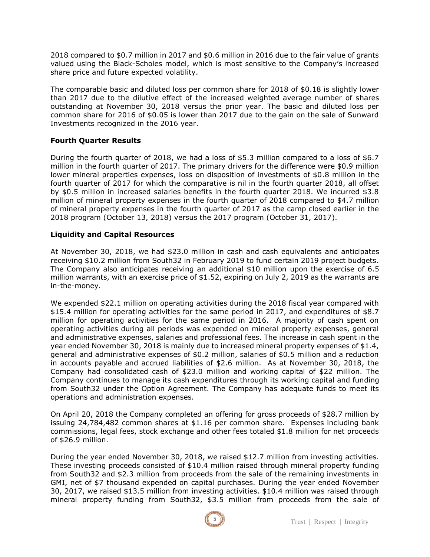2018 compared to \$0.7 million in 2017 and \$0.6 million in 2016 due to the fair value of grants valued using the Black-Scholes model, which is most sensitive to the Company's increased share price and future expected volatility.

The comparable basic and diluted loss per common share for 2018 of \$0.18 is slightly lower than 2017 due to the dilutive effect of the increased weighted average number of shares outstanding at November 30, 2018 versus the prior year. The basic and diluted loss per common share for 2016 of \$0.05 is lower than 2017 due to the gain on the sale of Sunward Investments recognized in the 2016 year.

#### **Fourth Quarter Results**

During the fourth quarter of 2018, we had a loss of \$5.3 million compared to a loss of \$6.7 million in the fourth quarter of 2017. The primary drivers for the difference were \$0.9 million lower mineral properties expenses, loss on disposition of investments of \$0.8 million in the fourth quarter of 2017 for which the comparative is nil in the fourth quarter 2018, all offset by \$0.5 million in increased salaries benefits in the fourth quarter 2018. We incurred \$3.8 million of mineral property expenses in the fourth quarter of 2018 compared to \$4.7 million of mineral property expenses in the fourth quarter of 2017 as the camp closed earlier in the 2018 program (October 13, 2018) versus the 2017 program (October 31, 2017).

#### **Liquidity and Capital Resources**

At November 30, 2018, we had \$23.0 million in cash and cash equivalents and anticipates receiving \$10.2 million from South32 in February 2019 to fund certain 2019 project budgets. The Company also anticipates receiving an additional \$10 million upon the exercise of 6.5 million warrants, with an exercise price of \$1.52, expiring on July 2, 2019 as the warrants are in-the-money.

We expended \$22.1 million on operating activities during the 2018 fiscal year compared with \$15.4 million for operating activities for the same period in 2017, and expenditures of \$8.7 million for operating activities for the same period in 2016. A majority of cash spent on operating activities during all periods was expended on mineral property expenses, general and administrative expenses, salaries and professional fees. The increase in cash spent in the year ended November 30, 2018 is mainly due to increased mineral property expenses of \$1.4, general and administrative expenses of \$0.2 million, salaries of \$0.5 million and a reduction in accounts payable and accrued liabilities of \$2.6 million. As at November 30, 2018, the Company had consolidated cash of \$23.0 million and working capital of \$22 million. The Company continues to manage its cash expenditures through its working capital and funding from South32 under the Option Agreement. The Company has adequate funds to meet its operations and administration expenses.

On April 20, 2018 the Company completed an offering for gross proceeds of \$28.7 million by issuing 24,784,482 common shares at \$1.16 per common share. Expenses including bank commissions, legal fees, stock exchange and other fees totaled \$1.8 million for net proceeds of \$26.9 million.

During the year ended November 30, 2018, we raised \$12.7 million from investing activities. These investing proceeds consisted of \$10.4 million raised through mineral property funding from South32 and \$2.3 million from proceeds from the sale of the remaining investments in GMI, net of \$7 thousand expended on capital purchases. During the year ended November 30, 2017, we raised \$13.5 million from investing activities. \$10.4 million was raised through mineral property funding from South32, \$3.5 million from proceeds from the sale of

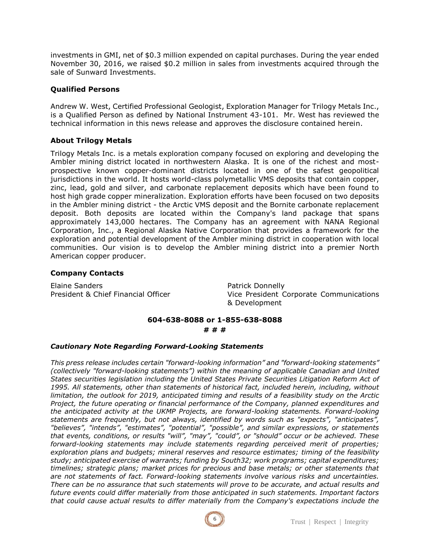investments in GMI, net of \$0.3 million expended on capital purchases. During the year ended November 30, 2016, we raised \$0.2 million in sales from investments acquired through the sale of Sunward Investments.

## **Qualified Persons**

Andrew W. West, Certified Professional Geologist, Exploration Manager for Trilogy Metals Inc., is a Qualified Person as defined by National Instrument 43-101. Mr. West has reviewed the technical information in this news release and approves the disclosure contained herein.

#### **About Trilogy Metals**

Trilogy Metals Inc. is a metals exploration company focused on exploring and developing the Ambler mining district located in northwestern Alaska. It is one of the richest and mostprospective known copper-dominant districts located in one of the safest geopolitical jurisdictions in the world. It hosts world-class polymetallic VMS deposits that contain copper, zinc, lead, gold and silver, and carbonate replacement deposits which have been found to host high grade copper mineralization. Exploration efforts have been focused on two deposits in the Ambler mining district - the Arctic VMS deposit and the Bornite carbonate replacement deposit. Both deposits are located within the Company's land package that spans approximately 143,000 hectares. The Company has an agreement with NANA Regional Corporation, Inc., a Regional Alaska Native Corporation that provides a framework for the exploration and potential development of the Ambler mining district in cooperation with local communities. Our vision is to develop the Ambler mining district into a premier North American copper producer.

#### **Company Contacts**

Elaine Sanders **Patrick Donnelly** 

President & Chief Financial Officer Vice President Corporate Communications & Development

#### **604-638-8088 or 1-855-638-8088**

#### **# # #**

#### *Cautionary Note Regarding Forward-Looking Statements*

*This press release includes certain "forward-looking information" and "forward-looking statements" (collectively "forward-looking statements") within the meaning of applicable Canadian and United States securities legislation including the United States Private Securities Litigation Reform Act of 1995. All statements, other than statements of historical fact, included herein, including, without limitation, the outlook for 2019, anticipated timing and results of a feasibility study on the Arctic Project, the future operating or financial performance of the Company, planned expenditures and the anticipated activity at the UKMP Projects, are forward-looking statements. Forward-looking statements are frequently, but not always, identified by words such as "expects", "anticipates", "believes", "intends", "estimates", "potential", "possible", and similar expressions, or statements that events, conditions, or results "will", "may", "could", or "should" occur or be achieved. These forward-looking statements may include statements regarding perceived merit of properties; exploration plans and budgets; mineral reserves and resource estimates; timing of the feasibility study; anticipated exercise of warrants; funding by South32; work programs; capital expenditures; timelines; strategic plans; market prices for precious and base metals; or other statements that are not statements of fact. Forward-looking statements involve various risks and uncertainties. There can be no assurance that such statements will prove to be accurate, and actual results and future events could differ materially from those anticipated in such statements. Important factors that could cause actual results to differ materially from the Company's expectations include the*